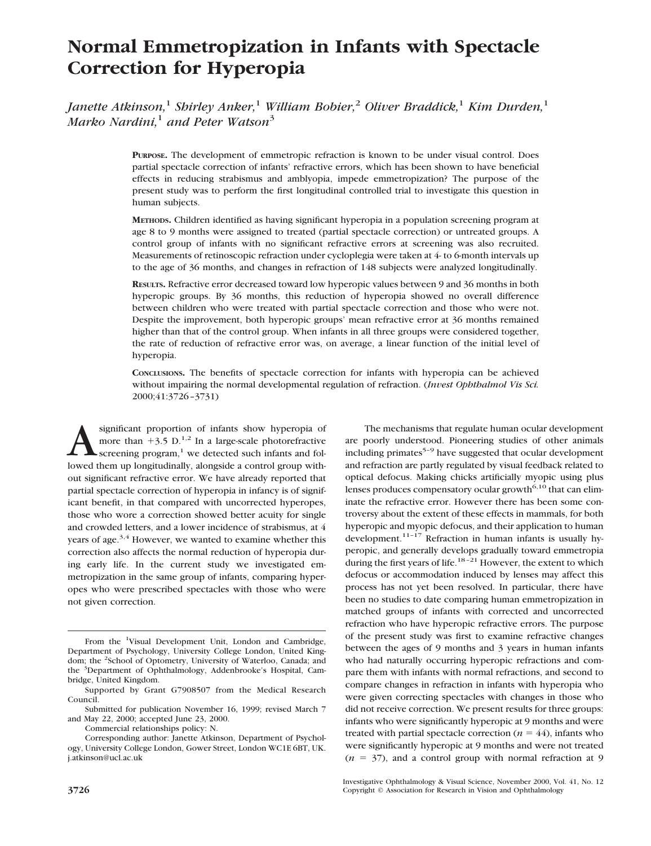# **Normal Emmetropization in Infants with Spectacle Correction for Hyperopia**

*Janette Atkinson,*<sup>1</sup> *Shirley Anker,*<sup>1</sup> *William Bobier,*<sup>2</sup> *Oliver Braddick,*<sup>1</sup> *Kim Durden,*<sup>1</sup> *Marko Nardini,*<sup>1</sup> *and Peter Watson*<sup>3</sup>

> **PURPOSE.** The development of emmetropic refraction is known to be under visual control. Does partial spectacle correction of infants' refractive errors, which has been shown to have beneficial effects in reducing strabismus and amblyopia, impede emmetropization? The purpose of the present study was to perform the first longitudinal controlled trial to investigate this question in human subjects.

> **METHODS.** Children identified as having significant hyperopia in a population screening program at age 8 to 9 months were assigned to treated (partial spectacle correction) or untreated groups. A control group of infants with no significant refractive errors at screening was also recruited. Measurements of retinoscopic refraction under cycloplegia were taken at 4- to 6-month intervals up to the age of 36 months, and changes in refraction of 148 subjects were analyzed longitudinally.

> **RESULTS.** Refractive error decreased toward low hyperopic values between 9 and 36 months in both hyperopic groups. By 36 months, this reduction of hyperopia showed no overall difference between children who were treated with partial spectacle correction and those who were not. Despite the improvement, both hyperopic groups' mean refractive error at 36 months remained higher than that of the control group. When infants in all three groups were considered together, the rate of reduction of refractive error was, on average, a linear function of the initial level of hyperopia.

> **CONCLUSIONS.** The benefits of spectacle correction for infants with hyperopia can be achieved without impairing the normal developmental regulation of refraction. (*Invest Ophthalmol Vis Sci.* 2000;41:3726–3731)

significant proportion of infants show hyperopia of<br>more than  $+3.5 \text{ D.}^{1,2}$  In a large-scale photorefractive<br>screening program,<sup>1</sup> we detected such infants and fol-<br>lowed them up longitudinally alongside a control gro more than  $+3.5$  D.<sup>1,2</sup> In a large-scale photorefractive screening program, $<sup>1</sup>$  we detected such infants and fol-</sup> lowed them up longitudinally, alongside a control group without significant refractive error. We have already reported that partial spectacle correction of hyperopia in infancy is of significant benefit, in that compared with uncorrected hyperopes, those who wore a correction showed better acuity for single and crowded letters, and a lower incidence of strabismus, at 4 years of age.<sup>3,4</sup> However, we wanted to examine whether this correction also affects the normal reduction of hyperopia during early life. In the current study we investigated emmetropization in the same group of infants, comparing hyperopes who were prescribed spectacles with those who were not given correction.

Commercial relationships policy: N.

The mechanisms that regulate human ocular development are poorly understood. Pioneering studies of other animals including primates $5-9$  have suggested that ocular development and refraction are partly regulated by visual feedback related to optical defocus. Making chicks artificially myopic using plus lenses produces compensatory ocular growth<sup> $6,10$ </sup> that can eliminate the refractive error. However there has been some controversy about the extent of these effects in mammals, for both hyperopic and myopic defocus, and their application to human development.<sup>11-17</sup> Refraction in human infants is usually hyperopic, and generally develops gradually toward emmetropia during the first years of life.<sup>18-21</sup> However, the extent to which defocus or accommodation induced by lenses may affect this process has not yet been resolved. In particular, there have been no studies to date comparing human emmetropization in matched groups of infants with corrected and uncorrected refraction who have hyperopic refractive errors. The purpose of the present study was first to examine refractive changes between the ages of 9 months and 3 years in human infants who had naturally occurring hyperopic refractions and compare them with infants with normal refractions, and second to compare changes in refraction in infants with hyperopia who were given correcting spectacles with changes in those who did not receive correction. We present results for three groups: infants who were significantly hyperopic at 9 months and were treated with partial spectacle correction ( $n = 44$ ), infants who were significantly hyperopic at 9 months and were not treated  $(n = 37)$ , and a control group with normal refraction at 9

From the <sup>1</sup>Visual Development Unit, London and Cambridge, Department of Psychology, University College London, United Kingdom; the <sup>2</sup>School of Optometry, University of Waterloo, Canada; and the <sup>3</sup>Department of Ophthalmology, Addenbrooke's Hospital, Cambridge, United Kingdom.

Supported by Grant G7908507 from the Medical Research Council.

Submitted for publication November 16, 1999; revised March 7 and May 22, 2000; accepted June 23, 2000.

Corresponding author: Janette Atkinson, Department of Psychology, University College London, Gower Street, London WC1E 6BT, UK. j.atkinson@ucl.ac.uk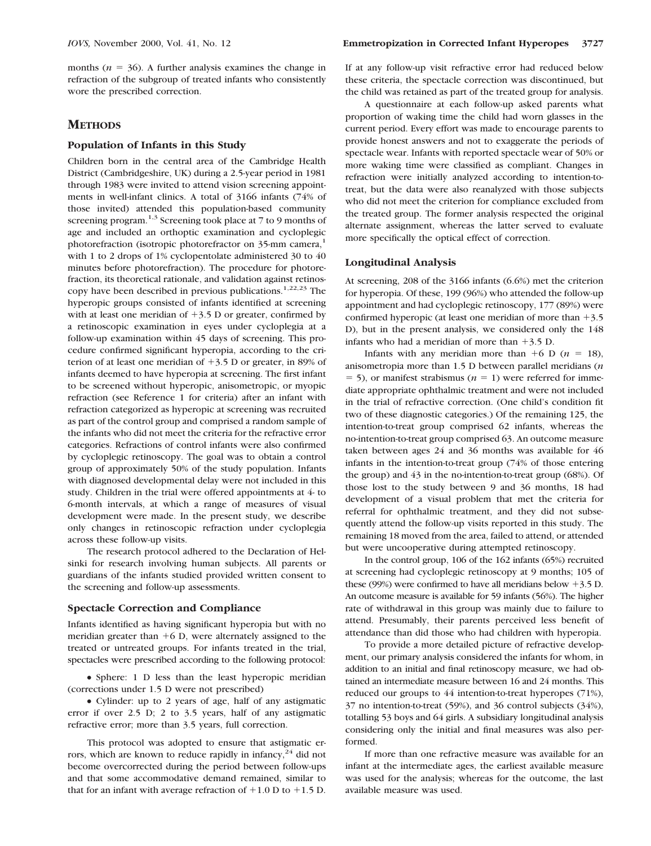months ( $n = 36$ ). A further analysis examines the change in refraction of the subgroup of treated infants who consistently wore the prescribed correction.

# **METHODS**

#### **Population of Infants in this Study**

Children born in the central area of the Cambridge Health District (Cambridgeshire, UK) during a 2.5-year period in 1981 through 1983 were invited to attend vision screening appointments in well-infant clinics. A total of 3166 infants (74% of those invited) attended this population-based community screening program.<sup>1,3</sup> Screening took place at 7 to 9 months of age and included an orthoptic examination and cycloplegic photorefraction (isotropic photorefractor on 35-mm camera,<sup>1</sup> with 1 to 2 drops of 1% cyclopentolate administered 30 to 40 minutes before photorefraction). The procedure for photorefraction, its theoretical rationale, and validation against retinoscopy have been described in previous publications.1,22,23 The hyperopic groups consisted of infants identified at screening with at least one meridian of  $+3.5$  D or greater, confirmed by a retinoscopic examination in eyes under cycloplegia at a follow-up examination within 45 days of screening. This procedure confirmed significant hyperopia, according to the criterion of at least one meridian of  $+3.5$  D or greater, in 89% of infants deemed to have hyperopia at screening. The first infant to be screened without hyperopic, anisometropic, or myopic refraction (see Reference 1 for criteria) after an infant with refraction categorized as hyperopic at screening was recruited as part of the control group and comprised a random sample of the infants who did not meet the criteria for the refractive error categories. Refractions of control infants were also confirmed by cycloplegic retinoscopy. The goal was to obtain a control group of approximately 50% of the study population. Infants with diagnosed developmental delay were not included in this study. Children in the trial were offered appointments at 4- to 6-month intervals, at which a range of measures of visual development were made. In the present study, we describe only changes in retinoscopic refraction under cycloplegia across these follow-up visits.

The research protocol adhered to the Declaration of Helsinki for research involving human subjects. All parents or guardians of the infants studied provided written consent to the screening and follow-up assessments.

#### **Spectacle Correction and Compliance**

Infants identified as having significant hyperopia but with no meridian greater than  $+6$  D, were alternately assigned to the treated or untreated groups. For infants treated in the trial, spectacles were prescribed according to the following protocol:

• Sphere: 1 D less than the least hyperopic meridian (corrections under 1.5 D were not prescribed)

● Cylinder: up to 2 years of age, half of any astigmatic error if over 2.5 D; 2 to 3.5 years, half of any astigmatic refractive error; more than 3.5 years, full correction.

This protocol was adopted to ensure that astigmatic errors, which are known to reduce rapidly in infancy,<sup>24</sup> did not become overcorrected during the period between follow-ups and that some accommodative demand remained, similar to that for an infant with average refraction of  $+1.0$  D to  $+1.5$  D.

If at any follow-up visit refractive error had reduced below these criteria, the spectacle correction was discontinued, but the child was retained as part of the treated group for analysis.

A questionnaire at each follow-up asked parents what proportion of waking time the child had worn glasses in the current period. Every effort was made to encourage parents to provide honest answers and not to exaggerate the periods of spectacle wear. Infants with reported spectacle wear of 50% or more waking time were classified as compliant. Changes in refraction were initially analyzed according to intention-totreat, but the data were also reanalyzed with those subjects who did not meet the criterion for compliance excluded from the treated group. The former analysis respected the original alternate assignment, whereas the latter served to evaluate more specifically the optical effect of correction.

## **Longitudinal Analysis**

At screening, 208 of the 3166 infants (6.6%) met the criterion for hyperopia. Of these, 199 (96%) who attended the follow-up appointment and had cycloplegic retinoscopy, 177 (89%) were confirmed hyperopic (at least one meridian of more than  $+3.5$ D), but in the present analysis, we considered only the 148 infants who had a meridian of more than  $+3.5$  D.

Infants with any meridian more than  $+6$  D ( $n = 18$ ), anisometropia more than 1.5 D between parallel meridians (*n*  $=$  5), or manifest strabismus ( $n = 1$ ) were referred for immediate appropriate ophthalmic treatment and were not included in the trial of refractive correction. (One child's condition fit two of these diagnostic categories.) Of the remaining 125, the intention-to-treat group comprised 62 infants, whereas the no-intention-to-treat group comprised 63. An outcome measure taken between ages 24 and 36 months was available for 46 infants in the intention-to-treat group (74% of those entering the group) and 43 in the no-intention-to-treat group (68%). Of those lost to the study between 9 and 36 months, 18 had development of a visual problem that met the criteria for referral for ophthalmic treatment, and they did not subsequently attend the follow-up visits reported in this study. The remaining 18 moved from the area, failed to attend, or attended but were uncooperative during attempted retinoscopy.

In the control group, 106 of the 162 infants (65%) recruited at screening had cycloplegic retinoscopy at 9 months; 105 of these (99%) were confirmed to have all meridians below  $+3.5$  D. An outcome measure is available for 59 infants (56%). The higher rate of withdrawal in this group was mainly due to failure to attend. Presumably, their parents perceived less benefit of attendance than did those who had children with hyperopia.

To provide a more detailed picture of refractive development, our primary analysis considered the infants for whom, in addition to an initial and final retinoscopy measure, we had obtained an intermediate measure between 16 and 24 months. This reduced our groups to 44 intention-to-treat hyperopes (71%), 37 no intention-to-treat (59%), and 36 control subjects (34%), totalling 53 boys and 64 girls. A subsidiary longitudinal analysis considering only the initial and final measures was also performed.

If more than one refractive measure was available for an infant at the intermediate ages, the earliest available measure was used for the analysis; whereas for the outcome, the last available measure was used.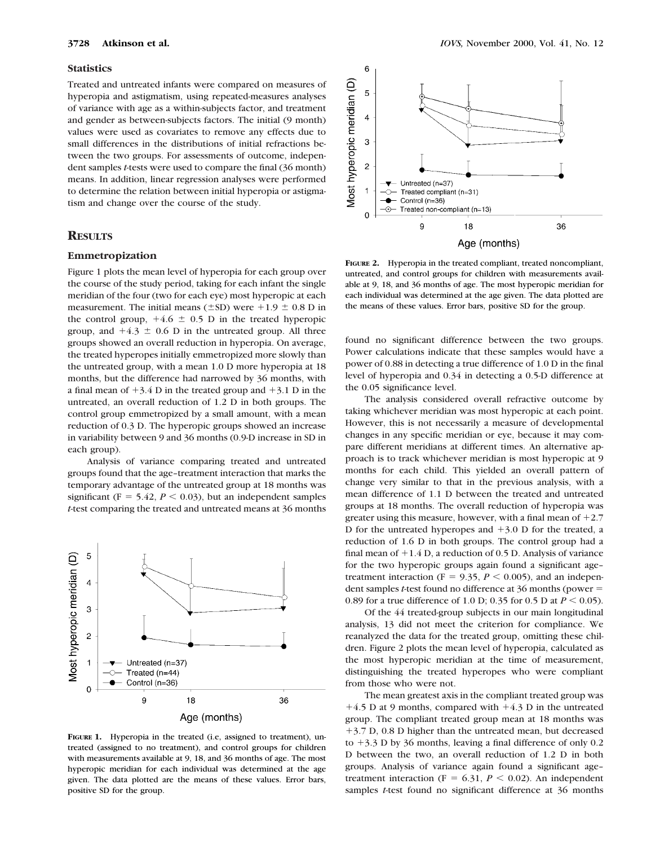#### **Statistics**

Treated and untreated infants were compared on measures of hyperopia and astigmatism, using repeated-measures analyses of variance with age as a within-subjects factor, and treatment and gender as between-subjects factors. The initial (9 month) values were used as covariates to remove any effects due to small differences in the distributions of initial refractions between the two groups. For assessments of outcome, independent samples *t*-tests were used to compare the final (36 month) means. In addition, linear regression analyses were performed to determine the relation between initial hyperopia or astigmatism and change over the course of the study.

# **RESULTS**

## **Emmetropization**

Figure 1 plots the mean level of hyperopia for each group over the course of the study period, taking for each infant the single meridian of the four (two for each eye) most hyperopic at each measurement. The initial means ( $\pm$ SD) were +1.9  $\pm$  0.8 D in the control group,  $+4.6 \pm 0.5$  D in the treated hyperopic group, and  $+4.3 \pm 0.6$  D in the untreated group. All three groups showed an overall reduction in hyperopia. On average, the treated hyperopes initially emmetropized more slowly than the untreated group, with a mean 1.0 D more hyperopia at 18 months, but the difference had narrowed by 36 months, with a final mean of  $+3.4$  D in the treated group and  $+3.1$  D in the untreated, an overall reduction of 1.2 D in both groups. The control group emmetropized by a small amount, with a mean reduction of 0.3 D. The hyperopic groups showed an increase in variability between 9 and 36 months (0.9-D increase in SD in each group).

Analysis of variance comparing treated and untreated groups found that the age–treatment interaction that marks the temporary advantage of the untreated group at 18 months was significant ( $F = 5.42$ ,  $P < 0.03$ ), but an independent samples *t*-test comparing the treated and untreated means at 36 months



**FIGURE 1.** Hyperopia in the treated (i.e, assigned to treatment), untreated (assigned to no treatment), and control groups for children with measurements available at 9, 18, and 36 months of age. The most hyperopic meridian for each individual was determined at the age given. The data plotted are the means of these values. Error bars, positive SD for the group.



**FIGURE 2.** Hyperopia in the treated compliant, treated noncompliant, untreated, and control groups for children with measurements available at 9, 18, and 36 months of age. The most hyperopic meridian for each individual was determined at the age given. The data plotted are the means of these values. Error bars, positive SD for the group.

found no significant difference between the two groups. Power calculations indicate that these samples would have a power of 0.88 in detecting a true difference of 1.0 D in the final level of hyperopia and 0.34 in detecting a 0.5-D difference at the 0.05 significance level.

The analysis considered overall refractive outcome by taking whichever meridian was most hyperopic at each point. However, this is not necessarily a measure of developmental changes in any specific meridian or eye, because it may compare different meridians at different times. An alternative approach is to track whichever meridian is most hyperopic at 9 months for each child. This yielded an overall pattern of change very similar to that in the previous analysis, with a mean difference of 1.1 D between the treated and untreated groups at 18 months. The overall reduction of hyperopia was greater using this measure, however, with a final mean of  $+2.7$ D for the untreated hyperopes and  $+3.0$  D for the treated, a reduction of 1.6 D in both groups. The control group had a final mean of  $+1.4$  D, a reduction of 0.5 D. Analysis of variance for the two hyperopic groups again found a significant age– treatment interaction ( $F = 9.35$ ,  $P < 0.005$ ), and an independent samples *t*-test found no difference at 36 months (power = 0.89 for a true difference of 1.0 D; 0.35 for 0.5 D at  $P < 0.05$ ).

Of the 44 treated-group subjects in our main longitudinal analysis, 13 did not meet the criterion for compliance. We reanalyzed the data for the treated group, omitting these children. Figure 2 plots the mean level of hyperopia, calculated as the most hyperopic meridian at the time of measurement, distinguishing the treated hyperopes who were compliant from those who were not.

The mean greatest axis in the compliant treated group was  $+4.5$  D at 9 months, compared with  $+4.3$  D in the untreated group. The compliant treated group mean at 18 months was 13.7 D, 0.8 D higher than the untreated mean, but decreased to  $+3.3$  D by 36 months, leaving a final difference of only 0.2 D between the two, an overall reduction of 1.2 D in both groups. Analysis of variance again found a significant age– treatment interaction ( $F = 6.31$ ,  $P < 0.02$ ). An independent samples *t*-test found no significant difference at 36 months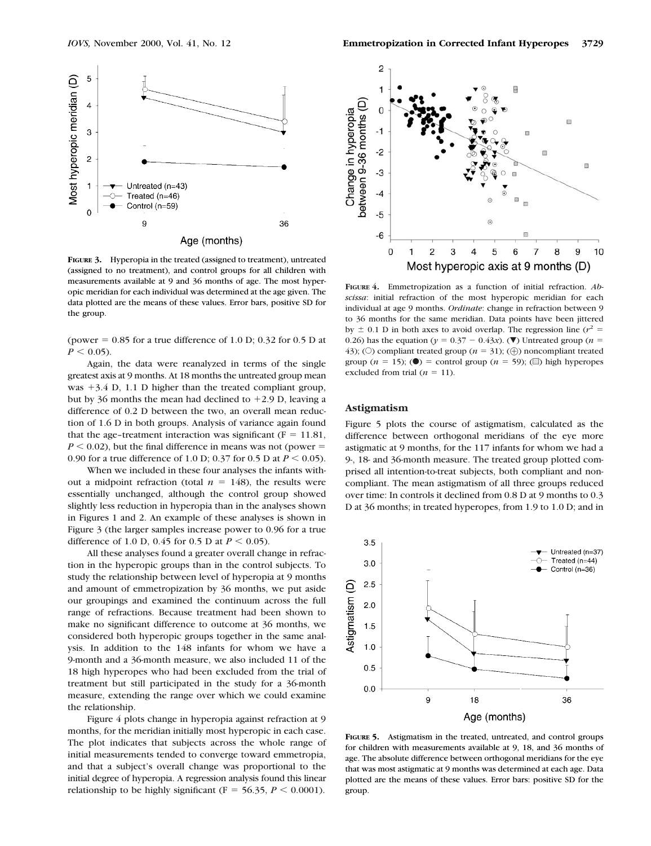

**FIGURE 3.** Hyperopia in the treated (assigned to treatment), untreated (assigned to no treatment), and control groups for all children with measurements available at 9 and 36 months of age. The most hyperopic meridian for each individual was determined at the age given. The data plotted are the means of these values. Error bars, positive SD for the group.

Age (months)

(power  $= 0.85$  for a true difference of 1.0 D; 0.32 for 0.5 D at  $P \leq 0.05$ .

Again, the data were reanalyzed in terms of the single greatest axis at 9 months. At 18 months the untreated group mean was  $+3.4$  D, 1.1 D higher than the treated compliant group, but by 36 months the mean had declined to  $+2.9$  D, leaving a difference of 0.2 D between the two, an overall mean reduction of 1.6 D in both groups. Analysis of variance again found that the age-treatment interaction was significant ( $F = 11.81$ ,  $P \le 0.02$ ), but the final difference in means was not (power = 0.90 for a true difference of 1.0 D; 0.37 for 0.5 D at  $P < 0.05$ ).

When we included in these four analyses the infants without a midpoint refraction (total  $n = 148$ ), the results were essentially unchanged, although the control group showed slightly less reduction in hyperopia than in the analyses shown in Figures 1 and 2. An example of these analyses is shown in Figure 3 (the larger samples increase power to 0.96 for a true difference of 1.0 D, 0.45 for 0.5 D at  $P < 0.05$ ).

All these analyses found a greater overall change in refraction in the hyperopic groups than in the control subjects. To study the relationship between level of hyperopia at 9 months and amount of emmetropization by 36 months, we put aside our groupings and examined the continuum across the full range of refractions. Because treatment had been shown to make no significant difference to outcome at 36 months, we considered both hyperopic groups together in the same analysis. In addition to the 148 infants for whom we have a 9-month and a 36-month measure, we also included 11 of the 18 high hyperopes who had been excluded from the trial of treatment but still participated in the study for a 36-month measure, extending the range over which we could examine the relationship.

Figure 4 plots change in hyperopia against refraction at 9 months, for the meridian initially most hyperopic in each case. The plot indicates that subjects across the whole range of initial measurements tended to converge toward emmetropia, and that a subject's overall change was proportional to the initial degree of hyperopia. A regression analysis found this linear relationship to be highly significant ( $F = 56.35$ ,  $P < 0.0001$ ).



**FIGURE 4.** Emmetropization as a function of initial refraction. *Abscissa*: initial refraction of the most hyperopic meridian for each individual at age 9 months. *Ordinate*: change in refraction between 9 to 36 months for the same meridian. Data points have been jittered by  $\pm$  0.1 D in both axes to avoid overlap. The regression line ( $r^2$  = 0.26) has the equation ( $y = 0.37 - 0.43x$ ). (**V**) Untreated group (*n* = 43); (O) compliant treated group ( $n = 31$ ); ( $\oplus$ ) noncompliant treated group ( $n = 15$ ); ( $\bullet$ ) = control group ( $n = 59$ ); ( $\bullet$ ) high hyperopes excluded from trial  $(n = 11)$ .

## **Astigmatism**

Figure 5 plots the course of astigmatism, calculated as the difference between orthogonal meridians of the eye more astigmatic at 9 months, for the 117 infants for whom we had a 9-, 18- and 36-month measure. The treated group plotted comprised all intention-to-treat subjects, both compliant and noncompliant. The mean astigmatism of all three groups reduced over time: In controls it declined from 0.8 D at 9 months to 0.3 D at 36 months; in treated hyperopes, from 1.9 to 1.0 D; and in



**FIGURE 5.** Astigmatism in the treated, untreated, and control groups for children with measurements available at 9, 18, and 36 months of age. The absolute difference between orthogonal meridians for the eye that was most astigmatic at 9 months was determined at each age. Data plotted are the means of these values. Error bars: positive SD for the group.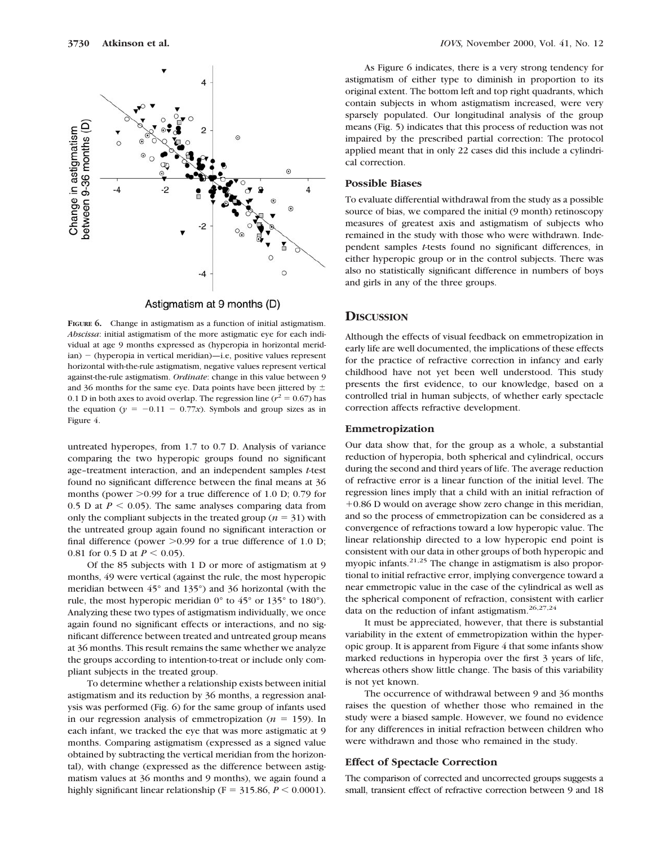

Astigmatism at 9 months (D)

**FIGURE 6.** Change in astigmatism as a function of initial astigmatism. *Abscissa*: initial astigmatism of the more astigmatic eye for each individual at age 9 months expressed as (hyperopia in horizontal meridian) – (hyperopia in vertical meridian)—i.e, positive values represent horizontal with-the-rule astigmatism, negative values represent vertical against-the-rule astigmatism. *Ordinate*: change in this value between 9 and 36 months for the same eye. Data points have been jittered by  $\pm$ 0.1 D in both axes to avoid overlap. The regression line ( $r^2 = 0.67$ ) has the equation ( $y = -0.11 - 0.77x$ ). Symbols and group sizes as in Figure 4.

untreated hyperopes, from 1.7 to 0.7 D. Analysis of variance comparing the two hyperopic groups found no significant age–treatment interaction, and an independent samples *t*-test found no significant difference between the final means at 36 months (power  $>0.99$  for a true difference of 1.0 D; 0.79 for 0.5 D at  $P < 0.05$ ). The same analyses comparing data from only the compliant subjects in the treated group ( $n = 31$ ) with the untreated group again found no significant interaction or final difference (power  $>0.99$  for a true difference of 1.0 D; 0.81 for 0.5 D at  $P < 0.05$ ).

Of the 85 subjects with 1 D or more of astigmatism at 9 months, 49 were vertical (against the rule, the most hyperopic meridian between 45° and 135°) and 36 horizontal (with the rule, the most hyperopic meridian 0° to 45° or 135° to 180°). Analyzing these two types of astigmatism individually, we once again found no significant effects or interactions, and no significant difference between treated and untreated group means at 36 months. This result remains the same whether we analyze the groups according to intention-to-treat or include only compliant subjects in the treated group.

To determine whether a relationship exists between initial astigmatism and its reduction by 36 months, a regression analysis was performed (Fig. 6) for the same group of infants used in our regression analysis of emmetropization  $(n = 159)$ . In each infant, we tracked the eye that was more astigmatic at 9 months. Comparing astigmatism (expressed as a signed value obtained by subtracting the vertical meridian from the horizontal), with change (expressed as the difference between astigmatism values at 36 months and 9 months), we again found a highly significant linear relationship ( $F = 315.86, P \le 0.0001$ ).

As Figure 6 indicates, there is a very strong tendency for astigmatism of either type to diminish in proportion to its original extent. The bottom left and top right quadrants, which contain subjects in whom astigmatism increased, were very sparsely populated. Our longitudinal analysis of the group means (Fig. 5) indicates that this process of reduction was not impaired by the prescribed partial correction: The protocol applied meant that in only 22 cases did this include a cylindrical correction.

## **Possible Biases**

To evaluate differential withdrawal from the study as a possible source of bias, we compared the initial (9 month) retinoscopy measures of greatest axis and astigmatism of subjects who remained in the study with those who were withdrawn. Independent samples *t*-tests found no significant differences, in either hyperopic group or in the control subjects. There was also no statistically significant difference in numbers of boys and girls in any of the three groups.

## **DISCUSSION**

Although the effects of visual feedback on emmetropization in early life are well documented, the implications of these effects for the practice of refractive correction in infancy and early childhood have not yet been well understood. This study presents the first evidence, to our knowledge, based on a controlled trial in human subjects, of whether early spectacle correction affects refractive development.

## **Emmetropization**

Our data show that, for the group as a whole, a substantial reduction of hyperopia, both spherical and cylindrical, occurs during the second and third years of life. The average reduction of refractive error is a linear function of the initial level. The regression lines imply that a child with an initial refraction of +0.86 D would on average show zero change in this meridian, and so the process of emmetropization can be considered as a convergence of refractions toward a low hyperopic value. The linear relationship directed to a low hyperopic end point is consistent with our data in other groups of both hyperopic and myopic infants.<sup>21,25</sup> The change in astigmatism is also proportional to initial refractive error, implying convergence toward a near emmetropic value in the case of the cylindrical as well as the spherical component of refraction, consistent with earlier data on the reduction of infant astigmatism.<sup>26,27,24</sup>

It must be appreciated, however, that there is substantial variability in the extent of emmetropization within the hyperopic group. It is apparent from Figure 4 that some infants show marked reductions in hyperopia over the first 3 years of life, whereas others show little change. The basis of this variability is not yet known.

The occurrence of withdrawal between 9 and 36 months raises the question of whether those who remained in the study were a biased sample. However, we found no evidence for any differences in initial refraction between children who were withdrawn and those who remained in the study.

#### **Effect of Spectacle Correction**

The comparison of corrected and uncorrected groups suggests a small, transient effect of refractive correction between 9 and 18